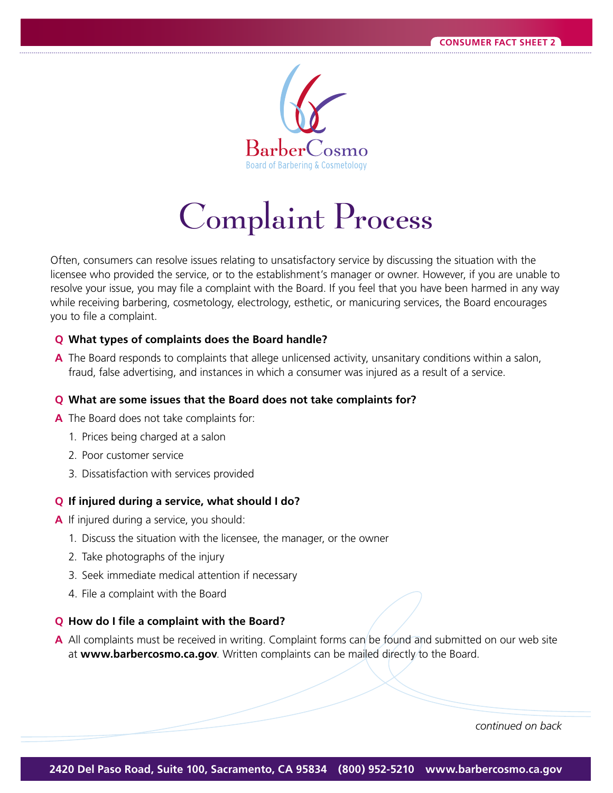

# Complaint Process

Often, consumers can resolve issues relating to unsatisfactory service by discussing the situation with the licensee who provided the service, or to the establishment's manager or owner. However, if you are unable to resolve your issue, you may file a complaint with the Board. If you feel that you have been harmed in any way while receiving barbering, cosmetology, electrology, esthetic, or manicuring services, the Board encourages you to file a complaint.

## **Q** What types of complaints does the Board handle?

**A** The Board responds to complaints that allege unlicensed activity, unsanitary conditions within a salon, fraud, false advertising, and instances in which a consumer was injured as a result of a service.

### **Q** What are some issues that the Board does not take complaints for?

- A The Board does not take complaints for:
	- 1. Prices being charged at a salon
	- 2. Poor customer service
	- 3. Dissatisfaction with services provided

### **Q** If injured during a service, what should I do?

- **A** If injured during a service, you should:
	- 1. Discuss the situation with the licensee, the manager, or the owner
	- 2. Take photographs of the injury
	- 3. Seek immediate medical attention if necessary
	- 4. File a complaint with the Board

### **Q** How do I file a complaint with the Board?

**A** All complaints must be received in writing. Complaint forms can be found and submitted on our web site at **www.barbercosmo.ca.gov**. Written complaints can be mailed directly to the Board.

*continued on back*